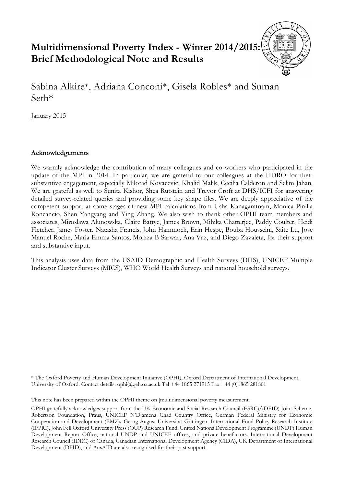# **Multidimensional Poverty Index - Winter 2014/2015: Brief Methodological Note and Results**

Sabina Alkire\*, Adriana Conconi\*, Gisela Robles\* and Suman Seth\*

January 2015

## **Acknowledgements**

We warmly acknowledge the contribution of many colleagues and co-workers who participated in the update of the MPI in 2014. In particular, we are grateful to our colleagues at the HDRO for their substantive engagement, especially Milorad Kovacevic, Khalid Malik, Cecilia Calderon and Selim Jahan. We are grateful as well to Sunita Kishor, Shea Rutstein and Trevor Croft at DHS/ICFI for answering detailed survey-related queries and providing some key shape files. We are deeply appreciative of the competent support at some stages of new MPI calculations from Usha Kanagaratnam, Monica Pinilla Roncancio, Shen Yangyang and Ying Zhang. We also wish to thank other OPHI team members and associates, Miroslawa Alunowska, Claire Battye, James Brown, Mihika Chatterjee, Paddy Coulter, Heidi Fletcher, James Foster, Natasha Francis, John Hammock, Erin Hespe, Bouba Housseini, Saite Lu, Jose Manuel Roche, Maria Emma Santos, Moizza B Sarwar, Ana Vaz, and Diego Zavaleta, for their support and substantive input.

This analysis uses data from the USAID Demographic and Health Surveys (DHS), UNICEF Multiple Indicator Cluster Surveys (MICS), WHO World Health Surveys and national household surveys.

\* The Oxford Poverty and Human Development Initiative (OPHI), Oxford Department of International Development, University of Oxford. Contact details: ophi@qeh.ox.ac.uk Tel +44 1865 271915 Fax +44 (0)1865 281801

This note has been prepared within the OPHI theme on [multidimensional poverty measurement.

OPHI gratefully acknowledges support from the UK Economic and Social Research Council (ESRC)/(DFID) Joint Scheme, Robertson Foundation, Praus, UNICEF N'Djamena Chad Country Office, German Federal Ministry for Economic Cooperation and Development (BMZ)**,** Georg-August-Universität Göttingen, International Food Policy Research Institute (IFPRI), John Fell Oxford University Press (OUP) Research Fund, United Nations Development Programme (UNDP) Human Development Report Office, national UNDP and UNICEF offices, and private benefactors. International Development Research Council (IDRC) of Canada, Canadian International Development Agency (CIDA), UK Department of International Development (DFID), and AusAID are also recognised for their past support.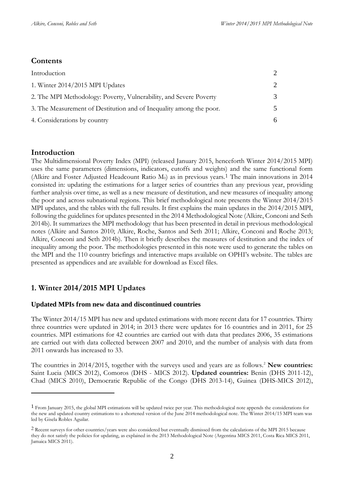## **Contents**

| Introduction                                                        |  |
|---------------------------------------------------------------------|--|
| 1. Winter 2014/2015 MPI Updates                                     |  |
| 2. The MPI Methodology: Poverty, Vulnerability, and Severe Poverty  |  |
| 3. The Measurement of Destitution and of Inequality among the poor. |  |
| 4. Considerations by country                                        |  |

## <span id="page-1-0"></span>**Introduction**

<u>.</u>

The Multidimensional Poverty Index (MPI) (released January 2015, henceforth Winter 2014/2015 MPI) uses the same parameters (dimensions, indicators, cutoffs and weights) and the same functional form (Alkire and Foster Adjusted Headcount Ratio  $M<sub>0</sub>$ ) as in previous years.<sup>1</sup> The main innovations in 2014 consisted in: updating the estimations for a larger series of countries than any previous year, providing further analysis over time, as well as a new measure of destitution, and new measures of inequality among the poor and across subnational regions. This brief methodological note presents the Winter 2014/2015 MPI updates, and the tables with the full results. It first explains the main updates in the 2014/2015 MPI, following the guidelines for updates presented in the 2014 Methodological Note (Alkire, Conconi and Seth 2014b). It summarizes the MPI methodology that has been presented in detail in previous methodological notes (Alkire and Santos 2010; Alkire, Roche, Santos and Seth 2011; Alkire, Conconi and Roche 2013; Alkire, Conconi and Seth 2014b). Then it briefly describes the measures of destitution and the index of inequality among the poor. The methodologies presented in this note were used to generate the tables on the MPI and the 110 country briefings and interactive maps available on OPHI's website. The tables are presented as appendices and are available for download as Excel files.

## <span id="page-1-1"></span>**1. Winter 2014/2015 MPI Updates**

## **Updated MPIs from new data and discontinued countries**

The Winter 2014/15 MPI has new and updated estimations with more recent data for 17 countries. Thirty three countries were updated in 2014; in 2013 there were updates for 16 countries and in 2011, for 25 countries. MPI estimations for 42 countries are carried out with data that predates 2006, 35 estimations are carried out with data collected between 2007 and 2010, and the number of analysis with data from 2011 onwards has increased to 33.

The countries in 2014/2015, together with the surveys used and years are as follows.<sup>2</sup> **New countries:** Saint Lucia (MICS 2012), Comoros (DHS - MICS 2012). **Updated countries:** Benin (DHS 2011-12), Chad (MICS 2010), Democratic Republic of the Congo (DHS 2013-14), Guinea (DHS-MICS 2012),

<sup>1</sup> From January 2015, the global MPI estimations will be updated twice per year. This methodological note appends the considerations for the new and updated country estimations to a shortened version of the June 2014 methodological note. The Winter 2014/15 MPI team was led by Gisela Robles Aguilar.

<sup>2</sup> Recent surveys for other countries/years were also considered but eventually dismissed from the calculations of the MPI 2015 because they do not satisfy the policies for updating, as explained in the 2013 Methodological Note (Argentina MICS 2011, Costa Rica MICS 2011, Jamaica MICS 2011).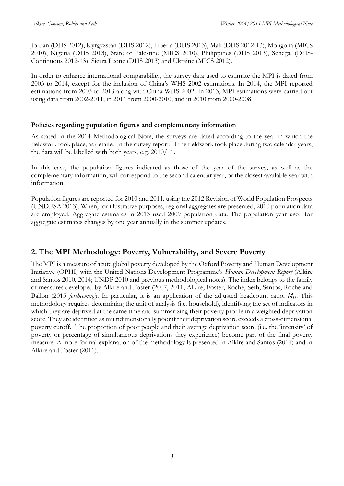Jordan (DHS 2012), Kyrgyzstan (DHS 2012), Liberia (DHS 2013), Mali (DHS 2012-13), Mongolia (MICS 2010), Nigeria (DHS 2013), State of Palestine (MICS 2010), Philippines (DHS 2013), Senegal (DHS-Continuous 2012-13), Sierra Leone (DHS 2013) and Ukraine (MICS 2012).

In order to enhance international comparability, the survey data used to estimate the MPI is dated from 2003 to 2014, except for the inclusion of China's WHS 2002 estimations. In 2014, the MPI reported estimations from 2003 to 2013 along with China WHS 2002. In 2013, MPI estimations were carried out using data from 2002-2011; in 2011 from 2000-2010; and in 2010 from 2000-2008.

## **Policies regarding population figures and complementary information**

As stated in the 2014 Methodological Note, the surveys are dated according to the year in which the fieldwork took place, as detailed in the survey report. If the fieldwork took place during two calendar years, the data will be labelled with both years, e.g. 2010/11.

In this case, the population figures indicated as those of the year of the survey, as well as the complementary information, will correspond to the second calendar year, or the closest available year with information.

Population figures are reported for 2010 and 2011, using the 2012 Revision of World Population Prospects (UNDESA 2013). When, for illustrative purposes, regional aggregates are presented, 2010 population data are employed. Aggregate estimates in 2013 used 2009 population data. The population year used for aggregate estimates changes by one year annually in the summer updates.

# <span id="page-2-0"></span>**2. The MPI Methodology: Poverty, Vulnerability, and Severe Poverty**

The MPI is a measure of acute global poverty developed by the Oxford Poverty and Human Development Initiative (OPHI) with the United Nations Development Programme's *Human Development Report* (Alkire and Santos 2010, 2014; UNDP 2010 and previous methodological notes). The index belongs to the family of measures developed by Alkire and Foster (2007, 2011; Alkire, Foster, Roche, Seth, Santos, Roche and Ballon (2015 *forthcoming*). In particular, it is an application of the adjusted headcount ratio,  $M_0$ . This methodology requires determining the unit of analysis (i.e. household), identifying the set of indicators in which they are deprived at the same time and summarizing their poverty profile in a weighted deprivation score. They are identified as multidimensionally poor if their deprivation score exceeds a cross-dimensional poverty cutoff. The proportion of poor people and their average deprivation score (i.e. the 'intensity' of poverty or percentage of simultaneous deprivations they experience) become part of the final poverty measure. A more formal explanation of the methodology is presented in Alkire and Santos (2014) and in Alkire and Foster (2011).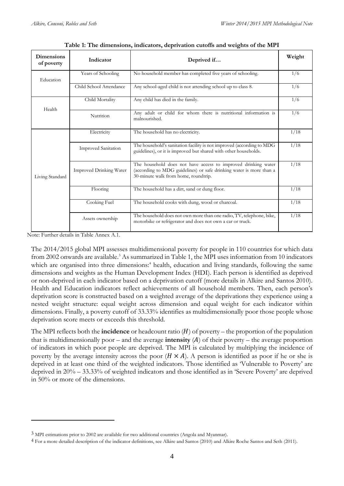| <b>Dimensions</b><br>of poverty | Indicator                                                        | Deprived if                                                                                                                                                                  | Weight |
|---------------------------------|------------------------------------------------------------------|------------------------------------------------------------------------------------------------------------------------------------------------------------------------------|--------|
| Education                       | Years of Schooling                                               | No household member has completed five years of schooling.                                                                                                                   | 1/6    |
|                                 | Child School Attendance                                          | Any school-aged child is not attending school up to class 8.                                                                                                                 | 1/6    |
|                                 | Child Mortality                                                  | Any child has died in the family.                                                                                                                                            | 1/6    |
| Health                          | Nutrition                                                        | Any adult or child for whom there is nutritional information is<br>malnourished.                                                                                             | 1/6    |
| Living Standard                 | Electricity                                                      | The household has no electricity.                                                                                                                                            | 1/18   |
|                                 | <b>Improved Sanitation</b>                                       | The household's sanitation facility is not improved (according to MDG<br>guidelines), or it is improved but shared with other households.                                    |        |
|                                 | Improved Drinking Water                                          | The household does not have access to improved drinking water<br>(according to MDG guidelines) or safe drinking water is more than a<br>30-minute walk from home, roundtrip. |        |
|                                 | Flooring                                                         | The household has a dirt, sand or dung floor.                                                                                                                                |        |
|                                 | Cooking Fuel<br>The household cooks with dung, wood or charcoal. |                                                                                                                                                                              | 1/18   |
|                                 | Assets ownership                                                 | The household does not own more than one radio, TV, telephone, bike,<br>motorbike or refrigerator and does not own a car or truck.                                           | 1/18   |

| Table 1: The dimensions, indicators, deprivation cutoffs and weights of the MPI |  |  |
|---------------------------------------------------------------------------------|--|--|
|---------------------------------------------------------------------------------|--|--|

Note: Further details in Table Annex A.1.

<u>.</u>

The 2014/2015 global MPI assesses multidimensional poverty for people in 110 countries for which data from 2002 onwards are available.<sup>3</sup> As summarized in Table 1, the MPI uses information from 10 indicators which are organised into three dimensions:<sup>4</sup> health, education and living standards, following the same dimensions and weights as the Human Development Index (HDI). Each person is identified as deprived or non-deprived in each indicator based on a deprivation cutoff (more details in Alkire and Santos 2010). Health and Education indicators reflect achievements of all household members. Then, each person's deprivation score is constructed based on a weighted average of the deprivations they experience using a nested weight structure: equal weight across dimension and equal weight for each indicator within dimensions. Finally, a poverty cutoff of 33.33% identifies as multidimensionally poor those people whose deprivation score meets or exceeds this threshold.

The MPI reflects both the **incidence** or headcount ratio  $(H)$  of poverty – the proportion of the population that is multidimensionally poor – and the average **intensity**  $(A)$  of their poverty – the average proportion of indicators in which poor people are deprived. The MPI is calculated by multiplying the incidence of poverty by the average intensity across the poor  $(H \times A)$ . A person is identified as poor if he or she is deprived in at least one third of the weighted indicators. Those identified as 'Vulnerable to Poverty' are deprived in 20% – 33.33% of weighted indicators and those identified as in 'Severe Poverty' are deprived in 50% or more of the dimensions.

<sup>3</sup> MPI estimations prior to 2002 are available for two additional countries (Angola and Myanmar).

<sup>4</sup> For a more detailed description of the indicator definitions, see Alkire and Santos (2010) and Alkire Roche Santos and Seth (2011).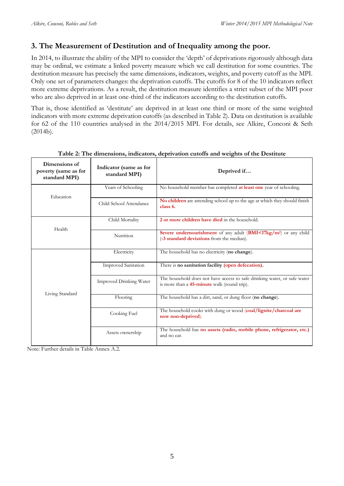# <span id="page-4-0"></span>**3. The Measurement of Destitution and of Inequality among the poor.**

In 2014, to illustrate the ability of the MPI to consider the 'depth' of deprivations rigorously although data may be ordinal, we estimate a linked poverty measure which we call destitution for some countries. The destitution measure has precisely the same dimensions, indicators, weights, and poverty cutoff as the MPI. Only one set of parameters changes: the deprivation cutoffs. The cutoffs for 8 of the 10 indicators reflect more extreme deprivations. As a result, the destitution measure identifies a strict subset of the MPI poor who are also deprived in at least one-third of the indicators according to the destitution cutoffs.

That is, those identified as 'destitute' are deprived in at least one third or more of the same weighted indicators with more extreme deprivation cutoffs (as described in Table 2). Data on destitution is available for 62 of the 110 countries analysed in the 2014/2015 MPI. For details, see Alkire, Conconi & Seth (2014b).

| Dimensions of<br>poverty (same as for<br>standard MPI) | Indicator (same as for<br>standard MPI) | Deprived if                                                                                                               |  |  |
|--------------------------------------------------------|-----------------------------------------|---------------------------------------------------------------------------------------------------------------------------|--|--|
| Education                                              | Years of Schooling                      | No household member has completed at least one year of schooling.                                                         |  |  |
|                                                        | Child School Attendance                 | No children are attending school up to the age at which they should finish<br>class 6.                                    |  |  |
| Health                                                 | Child Mortality                         | 2 or more children have died in the household.                                                                            |  |  |
|                                                        | Nutrition                               | Severe undernourishment of any adult (BMI<17kg/m <sup>2</sup> ) or any child<br>(-3 standard deviations from the median). |  |  |
|                                                        | Electricity                             | The household has no electricity (no change).                                                                             |  |  |
|                                                        | <b>Improved Sanitation</b>              | There is no sanitation facility (open defecation).                                                                        |  |  |
|                                                        | Improved Drinking Water                 | The household does not have access to safe drinking water, or safe water<br>is more than a 45-minute walk (round trip).   |  |  |
| Living Standard                                        | Flooring                                | The household has a dirt, sand, or dung floor (no change).                                                                |  |  |
|                                                        | Cooking Fuel                            | The household cooks with dung or wood (coal/lignite/charcoal are<br>now non-deprived).                                    |  |  |
|                                                        | Assets ownership                        | The household has no assets (radio, mobile phone, refrigerator, etc.)<br>and no car.                                      |  |  |

**Table 2: The dimensions, indicators, deprivation cutoffs and weights of the Destitute**

Note: Further details in Table Annex A.2.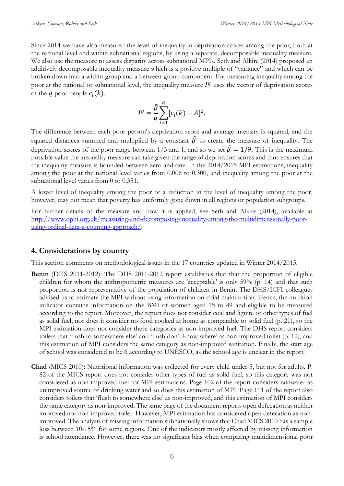Since 2014 we have also measured the level of inequality in deprivation scores among the poor, both at the national level and within subnational regions, by using a separate, decomposable inequality measure. We also use the measure to assess disparity across subnational MPIs. Seth and Alkire (2014) proposed an additively decomposable inequality measure which is a positive multiple of "variance" and which can be broken down into a within-group and a between-group component. For measuring inequality among the poor at the national or subnational level, the inequality measure  $I<sup>q</sup>$  uses the vector of deprivation scores of the q poor people  $c_i(k)$ .

$$
I^{q} = \frac{\tilde{\beta}}{q} \sum_{i=1}^{q} [c_i(k) - A]^2.
$$

The difference between each poor person's deprivation score and average intensity is squared, and the squared distances summed and multiplied by a constant  $\tilde{\beta}$  to create the measure of inequality. The deprivation scores of the poor range between 1/3 and 1, and so we set  $\tilde{\beta} = 1/9$ . This is the maximum possible value the inequality measure can take given the range of deprivation scores and thus ensures that the inequality measure is bounded between zero and one. In the 2014/2015 MPI estimations, inequality among the poor at the national level varies from 0.006 to 0.300, and inequality among the poor at the subnational level varies from 0 to 0.351.

A lower level of inequality among the poor or a reduction in the level of inequality among the poor, however, may not mean that poverty has uniformly gone down in all regions or population subgroups.

For further details of the measure and how it is applied, see Seth and Alkire (2014), available at [http://www.ophi.org.uk/measuring-and-decomposing-inequality-among-the-multidimensionally-poor](http://www.ophi.org.uk/measuring-and-decomposing-inequality-among-the-multidimensionally-poor-using-ordinal-data-a-counting-approach/)[using-ordinal-data-a-counting-approach/.](http://www.ophi.org.uk/measuring-and-decomposing-inequality-among-the-multidimensionally-poor-using-ordinal-data-a-counting-approach/)

## <span id="page-5-0"></span>**4. Considerations by country**

This section comments on methodological issues in the 17 countries updated in Winter 2014/2015.

- **Benin** (DHS 2011-2012): The DHS 2011-2012 report establishes that that the proportion of eligible children for whom the anthropometric measures are 'acceptable' is only 59% (p. 14) and that such proportion is not representative of the population of children in Benin. The DHS/ICFI colleagues advised us to estimate the MPI without using information on child malnutrition. Hence, the nutrition indicator contains information on the BMI of women aged 15 to 49 and eligible to be measured according to the report. Moreover, the report does not consider coal and lignite or other types of fuel as solid fuel, nor does it consider no food cooked at home as comparable to solid fuel (p. 21), so the MPI estimation does not consider these categories as non-improved fuel. The DHS report considers toilets that 'flush to somewhere else' and 'flush don't know where' as non-improved toilet (p. 12), and this estimation of MPI considers the same category as non-improved sanitation. Finally, the start age of school was considered to be 6 according to UNESCO, as the school age is unclear in the report.
- **Chad** (MICS 2010): Nutritional information was collected for every child under 5, but not for adults. P. 82 of the MICS report does not consider other types of fuel as solid fuel, so this category was not considered as non-improved fuel for MPI estimations. Page 102 of the report considers rainwater as unimproved source of drinking water and so does this estimation of MPI. Page 111 of the report also considers toilets that 'flush to somewhere else' as non-improved, and this estimation of MPI considers the same category as non-improved. The same page of the document reports open defecation as neither improved nor non-improved toilet. However, MPI estimation has considered open defecation as nonimproved. The analysis of missing information subnationally shows that Chad MICS 2010 has a sample loss between 10-15% for some regions. One of the indicators mostly affected by missing information is school attendance. However, there was no significant bias when comparing multidimensional poor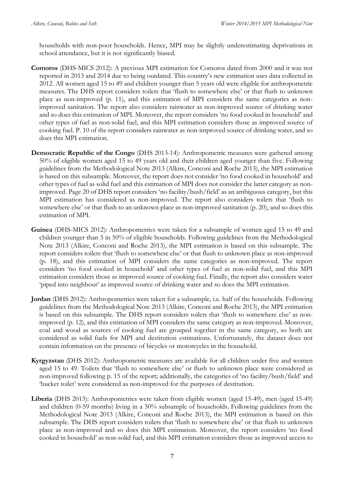households with non-poor households. Hence, MPI may be slightly underestimating deprivations in school attendance, but it is not significantly biased.

- **Comoros** (DHS-MICS 2012): A previous MPI estimation for Comoros dated from 2000 and it was not reported in 2013 and 2014 due to being outdated. This country's new estimation uses data collected in 2012. All women aged 15 to 49 and children younger than 5 years old were eligible for anthropometric measures. The DHS report considers toilets that 'flush to somewhere else' or that flush to unknown place as non-improved (p. 11), and this estimation of MPI considers the same categories as nonimproved sanitation. The report also considers rainwater as non-improved source of drinking water and so does this estimation of MPI. Moreover, the report considers 'no food cooked in household' and other types of fuel as non-solid fuel, and this MPI estimation considers those as improved source of cooking fuel. P. 10 of the report considers rainwater as non-improved source of drinking water, and so does this MPI estimation.
- **Democratic Republic of the Congo** (DHS 2013-14): Anthropometric measures were gathered among 50% of eligible women aged 15 to 49 years old and their children aged younger than five. Following guidelines from the Methodological Note 2013 (Alkire, Conconi and Roche 2013), the MPI estimation is based on this subsample. Moreover, the report does not consider 'no food cooked in household' and other types of fuel as solid fuel and this estimation of MPI does not consider the latter category as nonimproved. Page 20 of DHS report considers 'no facility/bush/field' as an ambiguous category, but this MPI estimation has considered as non-improved. The report also considers toilets that 'flush to somewhere else' or that flush to an unknown place as non-improved sanitation (p. 20), and so does this estimation of MPI.
- **Guinea** (DHS-MICS 2012): Anthropometrics were taken for a subsample of women aged 15 to 49 and children younger than 5 in 50% of eligible households. Following guidelines from the Methodological Note 2013 (Alkire, Conconi and Roche 2013), the MPI estimation is based on this subsample. The report considers toilets that 'flush to somewhere else' or that flush to unknown place as non-improved (p. 18), and this estimation of MPI considers the same categories as non-improved. The report considers 'no food cooked in household' and other types of fuel as non-solid fuel, and this MPI estimation considers those as improved source of cooking fuel. Finally, the report also considers water 'piped into neighbour' as improved source of drinking water and so does the MPI estimation.
- **Jordan** (DHS 2012): Anthropometrics were taken for a subsample, i.e. half of the households. Following guidelines from the Methodological Note 2013 (Alkire, Conconi and Roche 2013), the MPI estimation is based on this subsample. The DHS report considers toilets that 'flush to somewhere else' as nonimproved (p. 12), and this estimation of MPI considers the same category as non-improved. Moreover, coal and wood as sources of cooking fuel are grouped together in the same category, so both are considered as solid fuels for MPI and destitution estimations. Unfortunately, the dataset does not contain information on the presence of bicycles or motorcycles in the household.
- **Kyrgyzstan** (DHS 2012): Anthropometric measures are available for all children under five and women aged 15 to 49. Toilets that 'flush to somewhere else' or flush to unknown place were considered as non-improved following p. 15 of the report; additionally, the categories of 'no facility/bush/field' and 'bucket toilet' were considered as non-improved for the purposes of destitution.
- **Liberia** (DHS 2013): Anthropometrics were taken from eligible women (aged 15-49), men (aged 15-49) and children (0-59 months) living in a 50% subsample of households. Following guidelines from the Methodological Note 2013 (Alkire, Conconi and Roche 2013), the MPI estimation is based on this subsample. The DHS report considers toilets that 'flush to somewhere else' or that flush to unknown place as non-improved and so does this MPI estimation. Moreover, the report considers 'no food cooked in household' as non-solid fuel, and this MPI estimation considers those as improved access to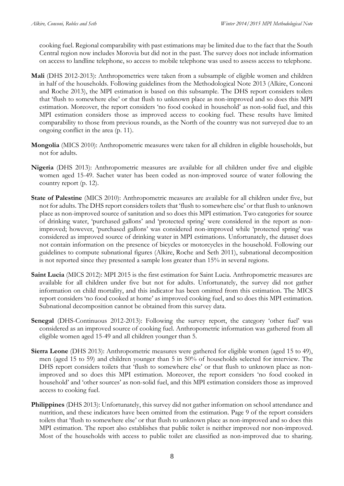cooking fuel. Regional comparability with past estimations may be limited due to the fact that the South Central region now includes Morovia but did not in the past. The survey does not include information on access to landline telephone, so access to mobile telephone was used to assess access to telephone.

- **Mali** (DHS 2012-2013): Anthropometrics were taken from a subsample of eligible women and children in half of the households. Following guidelines from the Methodological Note 2013 (Alkire, Conconi and Roche 2013), the MPI estimation is based on this subsample. The DHS report considers toilets that 'flush to somewhere else' or that flush to unknown place as non-improved and so does this MPI estimation. Moreover, the report considers 'no food cooked in household' as non-solid fuel, and this MPI estimation considers those as improved access to cooking fuel. These results have limited comparability to those from previous rounds, as the North of the country was not surveyed due to an ongoing conflict in the area (p. 11).
- **Mongolia** (MICS 2010): Anthropometric measures were taken for all children in eligible households, but not for adults.
- **Nigeria** (DHS 2013): Anthropometric measures are available for all children under five and eligible women aged 15-49. Sachet water has been coded as non-improved source of water following the country report (p. 12).
- **State of Palestine** (MICS 2010): Anthropometric measures are available for all children under five, but not for adults. The DHS report considers toilets that 'flush to somewhere else' or that flush to unknown place as non-improved source of sanitation and so does this MPI estimation. Two categories for source of drinking water, 'purchased gallons' and 'protected spring' were considered in the report as nonimproved; however, 'purchased gallons' was considered non-improved while 'protected spring' was considered as improved source of drinking water in MPI estimations. Unfortunately, the dataset does not contain information on the presence of bicycles or motorcycles in the household. Following our guidelines to compute subnational figures (Alkire, Roche and Seth 2011), subnational decomposition is not reported since they presented a sample loss greater than 15% in several regions.
- **Saint Lucia** (MICS 2012): MPI 2015 is the first estimation for Saint Lucia. Anthropometric measures are available for all children under five but not for adults. Unfortunately, the survey did not gather information on child mortality, and this indicator has been omitted from this estimation. The MICS report considers 'no food cooked at home' as improved cooking fuel, and so does this MPI estimation. Subnational decomposition cannot be obtained from this survey data.
- Senegal (DHS-Continuous 2012-2013): Following the survey report, the category 'other fuel' was considered as an improved source of cooking fuel. Anthropometric information was gathered from all eligible women aged 15-49 and all children younger than 5.
- **Sierra Leone** (DHS 2013): Anthropometric measures were gathered for eligible women (aged 15 to 49), men (aged 15 to 59) and children younger than 5 in 50% of households selected for interview. The DHS report considers toilets that 'flush to somewhere else' or that flush to unknown place as nonimproved and so does this MPI estimation. Moreover, the report considers 'no food cooked in household' and 'other sources' as non-solid fuel, and this MPI estimation considers those as improved access to cooking fuel.
- **Philippines** (DHS 2013): Unfortunately, this survey did not gather information on school attendance and nutrition, and these indicators have been omitted from the estimation. Page 9 of the report considers toilets that 'flush to somewhere else' or that flush to unknown place as non-improved and so does this MPI estimation. The report also establishes that public toilet is neither improved nor non-improved. Most of the households with access to public toilet are classified as non-improved due to sharing.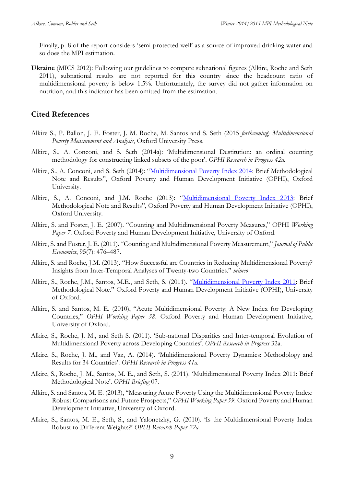Finally, p. 8 of the report considers 'semi-protected well' as a source of improved drinking water and so does the MPI estimation.

**Ukraine** (MICS 2012): Following our guidelines to compute subnational figures (Alkire, Roche and Seth 2011), subnational results are not reported for this country since the headcount ratio of multidimensional poverty is below 1.5%. Unfortunately, the survey did not gather information on nutrition, and this indicator has been omitted from the estimation.

## **Cited References**

- Alkire S., P. Ballon, J. E. Foster, J. M. Roche, M. Santos and S. Seth (2015 *forthcoming*) *Multidimensional Poverty Measurement and Analysis*, Oxford University Press.
- Alkire, S., A. Conconi, and S. Seth (2014a): 'Multidimensional Destitution: an ordinal counting methodology for constructing linked subsets of the poor'. *OPHI Research in Progress 42a.*
- Alkire, S., A. Conconi, and S. Seth (2014): "[Multidimensional Poverty Index 2014:](http://www.ophi.org.uk/multidimensional-poverty-index/mpi-2014/mpi-methodology/) Brief Methodological Note and Results", Oxford Poverty and Human Development Initiative (OPHI), Oxford University.
- Alkire, S., A. Conconi, and J.M. Roche (2013): "[Multidimensional Poverty Index 2013:](http://www.ophi.org.uk/multidimensional-poverty-index/mpi-2014/mpi-methodology/) Brief Methodological Note and Results", Oxford Poverty and Human Development Initiative (OPHI), Oxford University.
- Alkire, S. and Foster, J. E. (2007). "Counting and Multidimensional Poverty Measures," OPHI *Working Paper 7*. Oxford Poverty and Human Development Initiative, University of Oxford.
- Alkire, S. and Foster, J. E. (2011). "Counting and Multidimensional Poverty Measurement," *Journal of Public Economics*, 95(7): 476–487.
- Alkire, S. and Roche, J.M. (2013). "How Successful are Countries in Reducing Multidimensional Poverty? Insights from Inter-Temporal Analyses of Twenty-two Countries." *mimeo*
- Alkire, S., Roche, J.M., Santos, M.E., and Seth, S. (2011). "[Multidimensional Poverty Index 2011:](http://www.ophi.org.uk/multidimensional-poverty-index/mpi-2014/mpi-methodology/) Brief Methodological Note." Oxford Poverty and Human Development Initiative (OPHI), University of Oxford.
- Alkire, S. and Santos, M. E. (2010), "Acute Multidimensional Poverty: A New Index for Developing Countries," *OPHI Working Paper 38*. Oxford Poverty and Human Development Initiative, University of Oxford.
- Alkire, S., Roche, J. M., and Seth S. (2011). 'Sub-national Disparities and Inter-temporal Evolution of Multidimensional Poverty across Developing Countries'. *OPHI Research in Progress* 32a.
- Alkire, S., Roche, J. M., and Vaz, A. (2014). 'Multidimensional Poverty Dynamics: Methodology and Results for 34 Countries'. *OPHI Research in Progress 41a.*
- Alkire, S., Roche, J. M., Santos, M. E., and Seth, S. (2011). 'Multidimensional Poverty Index 2011: Brief Methodological Note'. *OPHI Briefing* 07.
- Alkire, S. and Santos, M. E. (2013), "Measuring Acute Poverty Using the Multidimensional Poverty Index: Robust Comparisons and Future Prospects," *OPHI Working Paper 59*. Oxford Poverty and Human Development Initiative, University of Oxford.
- Alkire, S., Santos, M. E., Seth, S., and Yalonetzky, G. (2010). 'Is the Multidimensional Poverty Index Robust to Different Weights?' *OPHI Research Paper 22a.*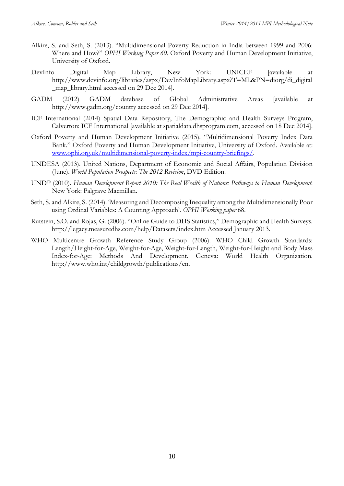- Alkire, S. and Seth, S. (2013). "Multidimensional Poverty Reduction in India between 1999 and 2006: Where and How?" *OPHI Working Paper 60.* Oxford Poverty and Human Development Initiative, University of Oxford.
- DevInfo Digital Map Library, New York: UNICEF [available at http://www.devinfo.org/libraries/aspx/DevInfoMapLibrary.aspx?T=ML&PN=diorg/di\_digital \_map\_library.html accessed on 29 Dec 2014].
- GADM (2012) GADM database of Global Administrative Areas [available at http://www.gadm.org/country accessed on 29 Dec 2014].
- ICF International (2014) Spatial Data Repository, The Demographic and Health Surveys Program, Calverton: ICF International [available at spatialdata.dhsprogram.com, accessed on 18 Dec 2014].
- Oxford Poverty and Human Development Initiative (2015). "Multidimensional Poverty Index Data Bank." Oxford Poverty and Human Development Initiative, University of Oxford. Available at: [www.ophi.org.uk/multidimensional-poverty-index/mpi-country-briefings/.](http://www.ophi.org.uk/multidimensional-poverty-index/mpi-country-briefings/)
- UNDESA (2013). United Nations, Department of Economic and Social Affairs, Population Division (June). *World Population Prospects: The 2012 Revision*, DVD Edition.
- UNDP (2010). *Human Development Report 2010: The Real Wealth of Nations: Pathways to Human Development*. New York: Palgrave Macmillan.
- Seth, S. and Alkire, S. (2014). 'Measuring and Decomposing Inequality among the Multidimensionally Poor using Ordinal Variables: A Counting Approach'. *OPHI Working paper* 68.
- Rutstein, S.O. and Rojas, G. (2006). "Online Guide to DHS Statistics," Demographic and Health Surveys. http://legacy.measuredhs.com/help/Datasets/index.htm Accessed January 2013.
- WHO Multicentre Growth Reference Study Group (2006). WHO Child Growth Standards: Length/Height-for-Age, Weight-for-Age, Weight-for-Length, Weight-for-Height and Body Mass Index-for-Age: Methods And Development. Geneva: World Health Organization. http://www.who.int/childgrowth/publications/en.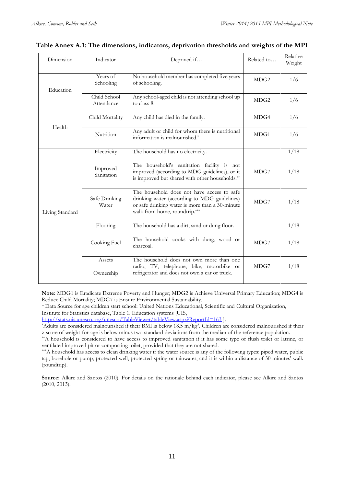| Dimension       | Indicator                  | Deprived if                                                                                                                                                                    | Related to       | Relative<br>Weight |
|-----------------|----------------------------|--------------------------------------------------------------------------------------------------------------------------------------------------------------------------------|------------------|--------------------|
| Education       | Years of<br>Schooling      | No household member has completed five years<br>of schooling.                                                                                                                  | MDG <sub>2</sub> | 1/6                |
|                 | Child School<br>Attendance | Any school-aged child is not attending school up<br>to class 8.                                                                                                                | MDG <sub>2</sub> | 1/6                |
| Health          | Child Mortality            | Any child has died in the family.                                                                                                                                              | MDG4             | 1/6                |
|                 | Nutrition                  | Any adult or child for whom there is nutritional<br>information is malnourished.*                                                                                              | MDG1             | 1/6                |
| Living Standard | Electricity                | The household has no electricity.                                                                                                                                              |                  | 1/18               |
|                 | Improved<br>Sanitation     | The household's sanitation facility is not<br>improved (according to MDG guidelines), or it<br>is improved but shared with other households.**                                 | MDG7             | 1/18               |
|                 | Safe Drinking<br>Water     | The household does not have access to safe<br>drinking water (according to MDG guidelines)<br>or safe drinking water is more than a 30-minute<br>walk from home, roundtrip.*** | MDG7             | 1/18               |
|                 | Flooring                   | The household has a dirt, sand or dung floor.                                                                                                                                  |                  | 1/18               |
|                 | Cooking Fuel               | The household cooks with dung, wood or<br>charcoal.                                                                                                                            | MDG7             | 1/18               |
|                 | Assets<br>Ownership        | The household does not own more than one<br>radio, TV, telephone, bike, motorbike or<br>refrigerator and does not own a car or truck.                                          | MDG7             | 1/18               |

### **Table Annex A.1: The dimensions, indicators, deprivation thresholds and weights of the MPI**

**Note:** MDG1 is Eradicate Extreme Poverty and Hunger; MDG2 is Achieve Universal Primary Education; MDG4 is Reduce Child Mortality; MDG7 is Ensure Environmental Sustainability.

<sup>+</sup>Data Source for age children start school: United Nations Educational, Scientific and Cultural Organization, Institute for Statistics database, Table 1. Education systems [UIS,

<http://stats.uis.unesco.org/unesco/TableViewer/tableView.aspx?ReportId=163> ].

\*Adults are considered malnourished if their BMI is below 18.5 m/kg<sup>2</sup> . Children are considered malnourished if their z-score of weight-for-age is below minus two standard deviations from the median of the reference population.

\*\*A household is considered to have access to improved sanitation if it has some type of flush toilet or latrine, or ventilated improved pit or composting toilet, provided that they are not shared.

\*\*\*A household has access to clean drinking water if the water source is any of the following types: piped water, public tap, borehole or pump, protected well, protected spring or rainwater, and it is within a distance of 30 minutes' walk (roundtrip).

**Source:** Alkire and Santos (2010). For details on the rationale behind each indicator, please see Alkire and Santos (2010, 2013).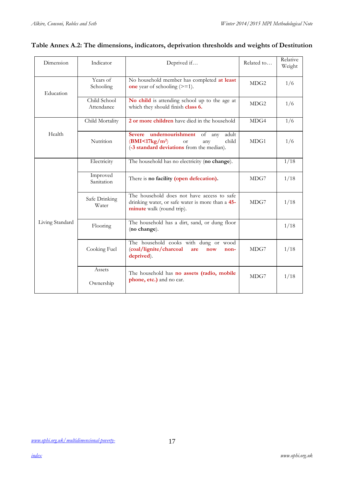| Dimension       | Indicator                  | Deprived if                                                                                                                                        | Related to       | Relative<br>Weight |
|-----------------|----------------------------|----------------------------------------------------------------------------------------------------------------------------------------------------|------------------|--------------------|
| Education       | Years of<br>Schooling      | No household member has completed at least<br>one year of schooling $(>=1)$ .                                                                      | MDG <sub>2</sub> | 1/6                |
|                 | Child School<br>Attendance | No child is attending school up to the age at<br>which they should finish class 6.                                                                 | MDG <sub>2</sub> | 1/6                |
|                 | Child Mortality            | 2 or more children have died in the household                                                                                                      | MDG4             | 1/6                |
| Health          | Nutrition                  | Severe undernourishment<br>adult<br>of any<br>(BMI<17kg/m <sup>2</sup> )<br>child<br><b>or</b><br>any<br>(-3 standard deviations from the median). | MDG1             | 1/6                |
| Living Standard | Electricity                | The household has no electricity (no change).                                                                                                      |                  | 1/18               |
|                 | Improved<br>Sanitation     | There is no facility (open defecation).                                                                                                            | MDG7             | 1/18               |
|                 | Safe Drinking<br>Water     | The household does not have access to safe<br>drinking water, or safe water is more than a 45-<br>minute walk (round trip).                        | MDG7             | 1/18               |
|                 | Flooring                   | The household has a dirt, sand, or dung floor<br>(no change).                                                                                      |                  | 1/18               |
|                 | Cooking Fuel               | The household cooks with dung or wood<br>(coal/lignite/charcoal<br>are<br>now<br>non-<br>deprived).                                                | MDG7             | 1/18               |
|                 | Assets<br>Ownership        | The household has no assets (radio, mobile<br>phone, etc.) and no car.                                                                             | MDG7             | 1/18               |

## **Table Annex A.2: The dimensions, indicators, deprivation thresholds and weights of Destitution**